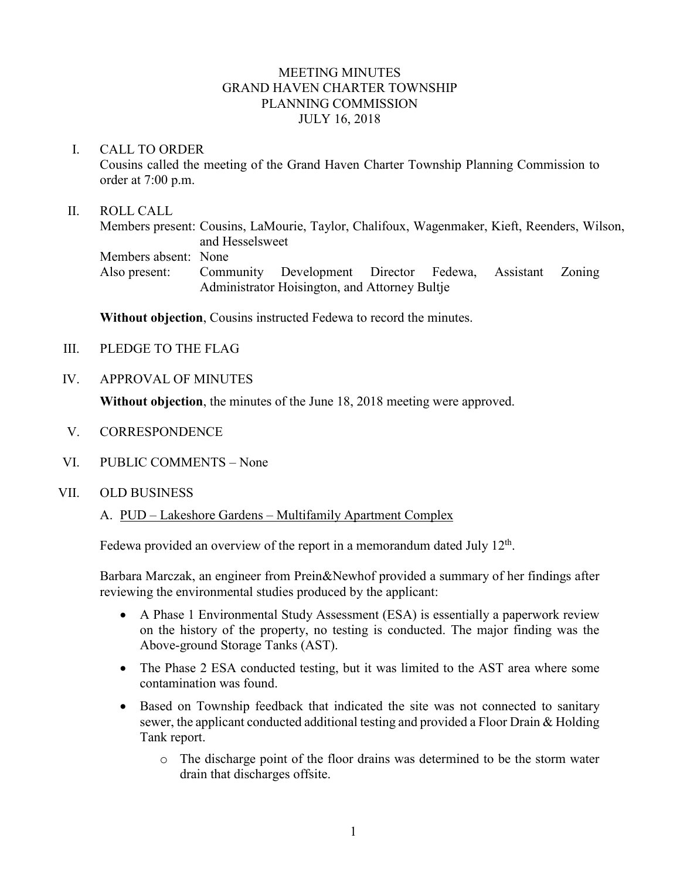# MEETING MINUTES GRAND HAVEN CHARTER TOWNSHIP PLANNING COMMISSION JULY 16, 2018

## I. CALL TO ORDER

Cousins called the meeting of the Grand Haven Charter Township Planning Commission to order at 7:00 p.m.

# II. ROLL CALL

Members present: Cousins, LaMourie, Taylor, Chalifoux, Wagenmaker, Kieft, Reenders, Wilson, and Hesselsweet Members absent: None Also present: Community Development Director Fedewa, Assistant Zoning Administrator Hoisington, and Attorney Bultje

**Without objection**, Cousins instructed Fedewa to record the minutes.

- III. PLEDGE TO THE FLAG
- IV. APPROVAL OF MINUTES

**Without objection**, the minutes of the June 18, 2018 meeting were approved.

- V. CORRESPONDENCE
- VI. PUBLIC COMMENTS None
- VII. OLD BUSINESS

## A. PUD – Lakeshore Gardens – Multifamily Apartment Complex

Fedewa provided an overview of the report in a memorandum dated July  $12<sup>th</sup>$ .

Barbara Marczak, an engineer from Prein&Newhof provided a summary of her findings after reviewing the environmental studies produced by the applicant:

- A Phase 1 Environmental Study Assessment (ESA) is essentially a paperwork review on the history of the property, no testing is conducted. The major finding was the Above-ground Storage Tanks (AST).
- The Phase 2 ESA conducted testing, but it was limited to the AST area where some contamination was found.
- Based on Township feedback that indicated the site was not connected to sanitary sewer, the applicant conducted additional testing and provided a Floor Drain & Holding Tank report.
	- o The discharge point of the floor drains was determined to be the storm water drain that discharges offsite.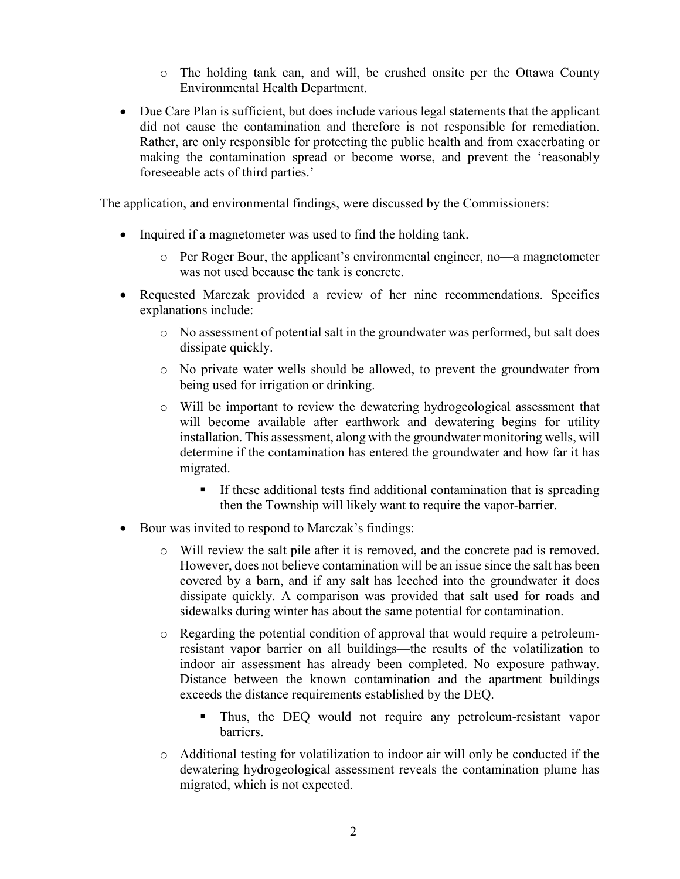- o The holding tank can, and will, be crushed onsite per the Ottawa County Environmental Health Department.
- Due Care Plan is sufficient, but does include various legal statements that the applicant did not cause the contamination and therefore is not responsible for remediation. Rather, are only responsible for protecting the public health and from exacerbating or making the contamination spread or become worse, and prevent the 'reasonably foreseeable acts of third parties.'

The application, and environmental findings, were discussed by the Commissioners:

- Inquired if a magnetometer was used to find the holding tank.
	- o Per Roger Bour, the applicant's environmental engineer, no—a magnetometer was not used because the tank is concrete.
- Requested Marczak provided a review of her nine recommendations. Specifics explanations include:
	- o No assessment of potential salt in the groundwater was performed, but salt does dissipate quickly.
	- o No private water wells should be allowed, to prevent the groundwater from being used for irrigation or drinking.
	- o Will be important to review the dewatering hydrogeological assessment that will become available after earthwork and dewatering begins for utility installation. This assessment, along with the groundwater monitoring wells, will determine if the contamination has entered the groundwater and how far it has migrated.
		- If these additional tests find additional contamination that is spreading then the Township will likely want to require the vapor-barrier.
- Bour was invited to respond to Marczak's findings:
	- o Will review the salt pile after it is removed, and the concrete pad is removed. However, does not believe contamination will be an issue since the salt has been covered by a barn, and if any salt has leeched into the groundwater it does dissipate quickly. A comparison was provided that salt used for roads and sidewalks during winter has about the same potential for contamination.
	- o Regarding the potential condition of approval that would require a petroleumresistant vapor barrier on all buildings—the results of the volatilization to indoor air assessment has already been completed. No exposure pathway. Distance between the known contamination and the apartment buildings exceeds the distance requirements established by the DEQ.
		- Thus, the DEQ would not require any petroleum-resistant vapor barriers.
	- $\circ$  Additional testing for volatilization to indoor air will only be conducted if the dewatering hydrogeological assessment reveals the contamination plume has migrated, which is not expected.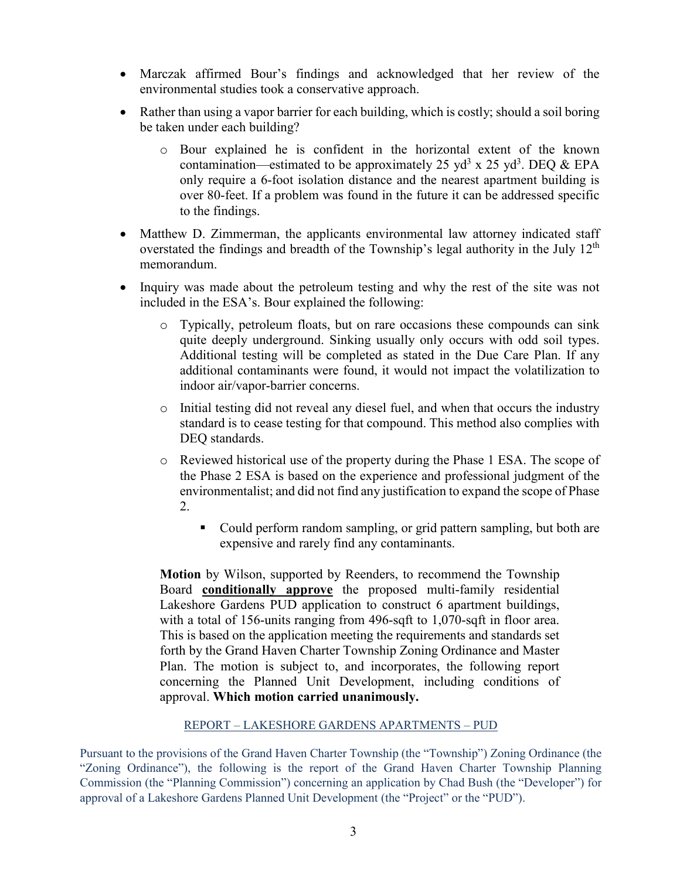- Marczak affirmed Bour's findings and acknowledged that her review of the environmental studies took a conservative approach.
- Rather than using a vapor barrier for each building, which is costly; should a soil boring be taken under each building?
	- o Bour explained he is confident in the horizontal extent of the known contamination—estimated to be approximately 25 yd<sup>3</sup> x 25 yd<sup>3</sup>. DEQ & EPA only require a 6-foot isolation distance and the nearest apartment building is over 80-feet. If a problem was found in the future it can be addressed specific to the findings.
- Matthew D. Zimmerman, the applicants environmental law attorney indicated staff overstated the findings and breadth of the Township's legal authority in the July  $12<sup>th</sup>$ memorandum.
- Inquiry was made about the petroleum testing and why the rest of the site was not included in the ESA's. Bour explained the following:
	- o Typically, petroleum floats, but on rare occasions these compounds can sink quite deeply underground. Sinking usually only occurs with odd soil types. Additional testing will be completed as stated in the Due Care Plan. If any additional contaminants were found, it would not impact the volatilization to indoor air/vapor-barrier concerns.
	- o Initial testing did not reveal any diesel fuel, and when that occurs the industry standard is to cease testing for that compound. This method also complies with DEQ standards.
	- o Reviewed historical use of the property during the Phase 1 ESA. The scope of the Phase 2 ESA is based on the experience and professional judgment of the environmentalist; and did not find any justification to expand the scope of Phase 2.
		- Could perform random sampling, or grid pattern sampling, but both are expensive and rarely find any contaminants.

**Motion** by Wilson, supported by Reenders, to recommend the Township Board **conditionally approve** the proposed multi-family residential Lakeshore Gardens PUD application to construct 6 apartment buildings, with a total of 156-units ranging from 496-sqft to 1,070-sqft in floor area. This is based on the application meeting the requirements and standards set forth by the Grand Haven Charter Township Zoning Ordinance and Master Plan. The motion is subject to, and incorporates, the following report concerning the Planned Unit Development, including conditions of approval. **Which motion carried unanimously.**

## REPORT – LAKESHORE GARDENS APARTMENTS – PUD

Pursuant to the provisions of the Grand Haven Charter Township (the "Township") Zoning Ordinance (the "Zoning Ordinance"), the following is the report of the Grand Haven Charter Township Planning Commission (the "Planning Commission") concerning an application by Chad Bush (the "Developer") for approval of a Lakeshore Gardens Planned Unit Development (the "Project" or the "PUD").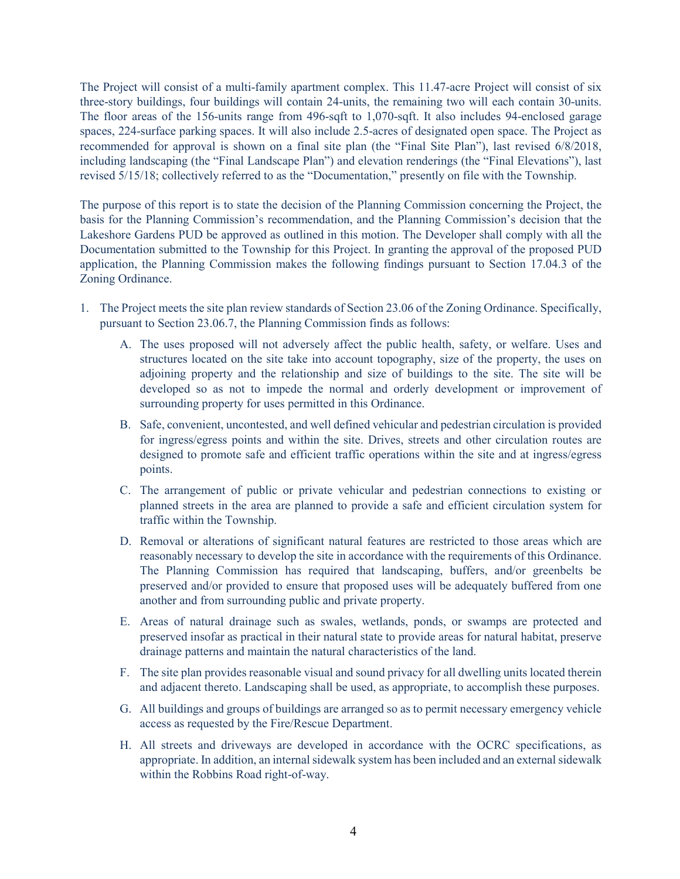The Project will consist of a multi-family apartment complex. This 11.47-acre Project will consist of six three-story buildings, four buildings will contain 24-units, the remaining two will each contain 30-units. The floor areas of the 156-units range from 496-sqft to 1,070-sqft. It also includes 94-enclosed garage spaces, 224-surface parking spaces. It will also include 2.5-acres of designated open space. The Project as recommended for approval is shown on a final site plan (the "Final Site Plan"), last revised 6/8/2018, including landscaping (the "Final Landscape Plan") and elevation renderings (the "Final Elevations"), last revised 5/15/18; collectively referred to as the "Documentation," presently on file with the Township.

The purpose of this report is to state the decision of the Planning Commission concerning the Project, the basis for the Planning Commission's recommendation, and the Planning Commission's decision that the Lakeshore Gardens PUD be approved as outlined in this motion. The Developer shall comply with all the Documentation submitted to the Township for this Project. In granting the approval of the proposed PUD application, the Planning Commission makes the following findings pursuant to Section 17.04.3 of the Zoning Ordinance.

- 1. The Project meets the site plan review standards of Section 23.06 of the Zoning Ordinance. Specifically, pursuant to Section 23.06.7, the Planning Commission finds as follows:
	- A. The uses proposed will not adversely affect the public health, safety, or welfare. Uses and structures located on the site take into account topography, size of the property, the uses on adjoining property and the relationship and size of buildings to the site. The site will be developed so as not to impede the normal and orderly development or improvement of surrounding property for uses permitted in this Ordinance.
	- B. Safe, convenient, uncontested, and well defined vehicular and pedestrian circulation is provided for ingress/egress points and within the site. Drives, streets and other circulation routes are designed to promote safe and efficient traffic operations within the site and at ingress/egress points.
	- C. The arrangement of public or private vehicular and pedestrian connections to existing or planned streets in the area are planned to provide a safe and efficient circulation system for traffic within the Township.
	- D. Removal or alterations of significant natural features are restricted to those areas which are reasonably necessary to develop the site in accordance with the requirements of this Ordinance. The Planning Commission has required that landscaping, buffers, and/or greenbelts be preserved and/or provided to ensure that proposed uses will be adequately buffered from one another and from surrounding public and private property.
	- E. Areas of natural drainage such as swales, wetlands, ponds, or swamps are protected and preserved insofar as practical in their natural state to provide areas for natural habitat, preserve drainage patterns and maintain the natural characteristics of the land.
	- F. The site plan provides reasonable visual and sound privacy for all dwelling units located therein and adjacent thereto. Landscaping shall be used, as appropriate, to accomplish these purposes.
	- G. All buildings and groups of buildings are arranged so as to permit necessary emergency vehicle access as requested by the Fire/Rescue Department.
	- H. All streets and driveways are developed in accordance with the OCRC specifications, as appropriate. In addition, an internal sidewalk system has been included and an external sidewalk within the Robbins Road right-of-way.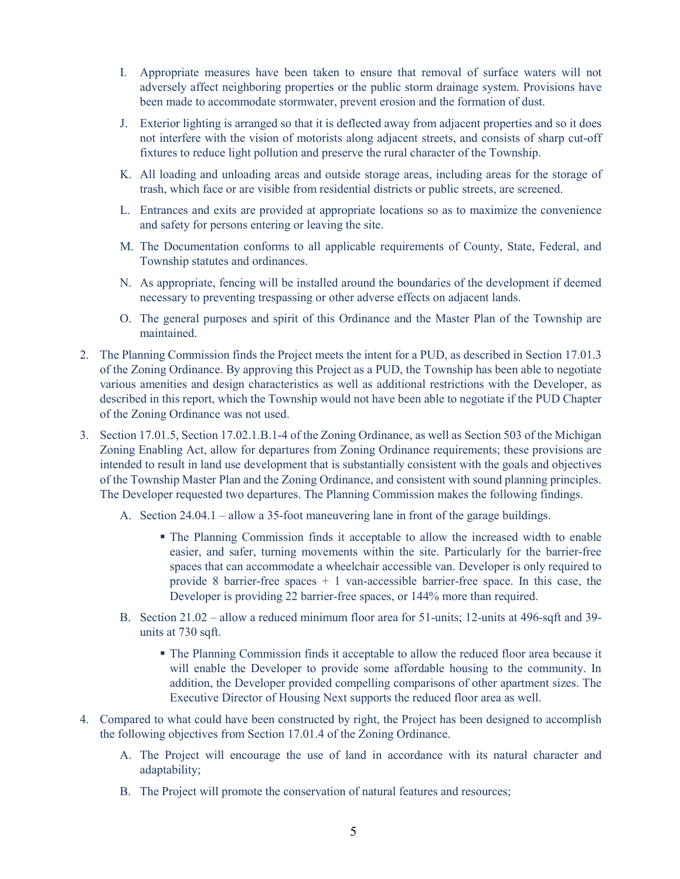- I. Appropriate measures have been taken to ensure that removal of surface waters will not adversely affect neighboring properties or the public storm drainage system. Provisions have been made to accommodate stormwater, prevent erosion and the formation of dust.
- J. Exterior lighting is arranged so that it is deflected away from adjacent properties and so it does not interfere with the vision of motorists along adjacent streets, and consists of sharp cut-off fixtures to reduce light pollution and preserve the rural character of the Township.
- K. All loading and unloading areas and outside storage areas, including areas for the storage of trash, which face or are visible from residential districts or public streets, are screened.
- L. Entrances and exits are provided at appropriate locations so as to maximize the convenience and safety for persons entering or leaving the site.
- M. The Documentation conforms to all applicable requirements of County, State, Federal, and Township statutes and ordinances.
- N. As appropriate, fencing will be installed around the boundaries of the development if deemed necessary to preventing trespassing or other adverse effects on adjacent lands.
- O. The general purposes and spirit of this Ordinance and the Master Plan of the Township are maintained.
- 2. The Planning Commission finds the Project meets the intent for a PUD, as described in Section 17.01.3 of the Zoning Ordinance. By approving this Project as a PUD, the Township has been able to negotiate various amenities and design characteristics as well as additional restrictions with the Developer, as described in this report, which the Township would not have been able to negotiate if the PUD Chapter of the Zoning Ordinance was not used.
- 3. Section 17.01.5, Section 17.02.1.B.1-4 of the Zoning Ordinance, as well as Section 503 of the Michigan Zoning Enabling Act, allow for departures from Zoning Ordinance requirements; these provisions are intended to result in land use development that is substantially consistent with the goals and objectives of the Township Master Plan and the Zoning Ordinance, and consistent with sound planning principles. The Developer requested two departures. The Planning Commission makes the following findings.
	- A. Section 24.04.1 allow a 35-foot maneuvering lane in front of the garage buildings.
		- The Planning Commission finds it acceptable to allow the increased width to enable easier, and safer, turning movements within the site. Particularly for the barrier-free spaces that can accommodate a wheelchair accessible van. Developer is only required to provide 8 barrier-free spaces  $+1$  van-accessible barrier-free space. In this case, the Developer is providing 22 barrier-free spaces, or 144% more than required.
	- B. Section 21.02 allow a reduced minimum floor area for 51-units; 12-units at 496-sqft and 39 units at 730 sqft.
		- The Planning Commission finds it acceptable to allow the reduced floor area because it will enable the Developer to provide some affordable housing to the community. In addition, the Developer provided compelling comparisons of other apartment sizes. The Executive Director of Housing Next supports the reduced floor area as well.
- 4. Compared to what could have been constructed by right, the Project has been designed to accomplish the following objectives from Section 17.01.4 of the Zoning Ordinance.
	- A. The Project will encourage the use of land in accordance with its natural character and adaptability;
	- B. The Project will promote the conservation of natural features and resources;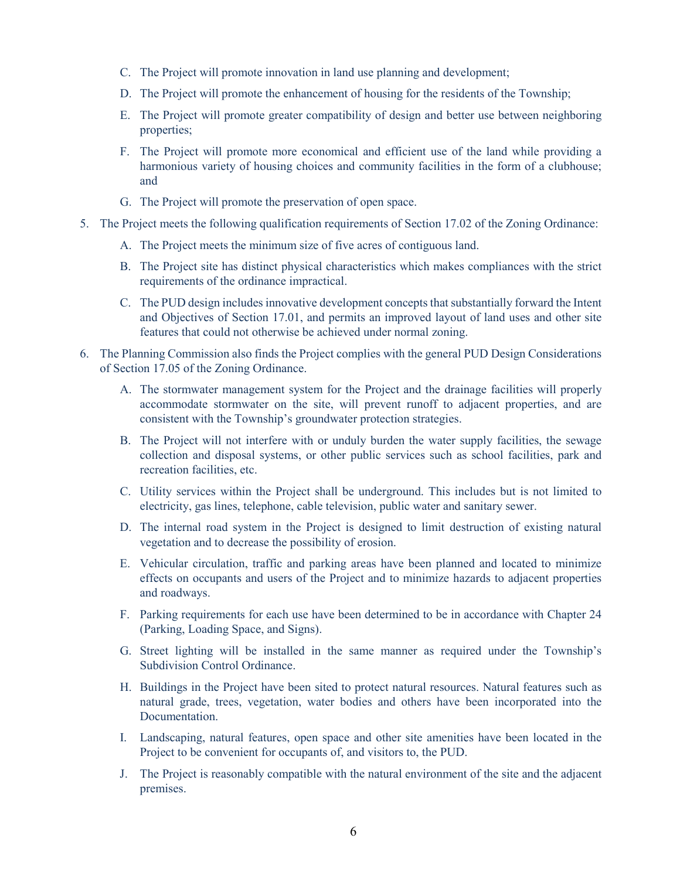- C. The Project will promote innovation in land use planning and development;
- D. The Project will promote the enhancement of housing for the residents of the Township;
- E. The Project will promote greater compatibility of design and better use between neighboring properties;
- F. The Project will promote more economical and efficient use of the land while providing a harmonious variety of housing choices and community facilities in the form of a clubhouse; and
- G. The Project will promote the preservation of open space.
- 5. The Project meets the following qualification requirements of Section 17.02 of the Zoning Ordinance:
	- A. The Project meets the minimum size of five acres of contiguous land.
	- B. The Project site has distinct physical characteristics which makes compliances with the strict requirements of the ordinance impractical.
	- C. The PUD design includes innovative development concepts that substantially forward the Intent and Objectives of Section 17.01, and permits an improved layout of land uses and other site features that could not otherwise be achieved under normal zoning.
- 6. The Planning Commission also finds the Project complies with the general PUD Design Considerations of Section 17.05 of the Zoning Ordinance.
	- A. The stormwater management system for the Project and the drainage facilities will properly accommodate stormwater on the site, will prevent runoff to adjacent properties, and are consistent with the Township's groundwater protection strategies.
	- B. The Project will not interfere with or unduly burden the water supply facilities, the sewage collection and disposal systems, or other public services such as school facilities, park and recreation facilities, etc.
	- C. Utility services within the Project shall be underground. This includes but is not limited to electricity, gas lines, telephone, cable television, public water and sanitary sewer.
	- D. The internal road system in the Project is designed to limit destruction of existing natural vegetation and to decrease the possibility of erosion.
	- E. Vehicular circulation, traffic and parking areas have been planned and located to minimize effects on occupants and users of the Project and to minimize hazards to adjacent properties and roadways.
	- F. Parking requirements for each use have been determined to be in accordance with Chapter 24 (Parking, Loading Space, and Signs).
	- G. Street lighting will be installed in the same manner as required under the Township's Subdivision Control Ordinance.
	- H. Buildings in the Project have been sited to protect natural resources. Natural features such as natural grade, trees, vegetation, water bodies and others have been incorporated into the Documentation.
	- I. Landscaping, natural features, open space and other site amenities have been located in the Project to be convenient for occupants of, and visitors to, the PUD.
	- J. The Project is reasonably compatible with the natural environment of the site and the adjacent premises.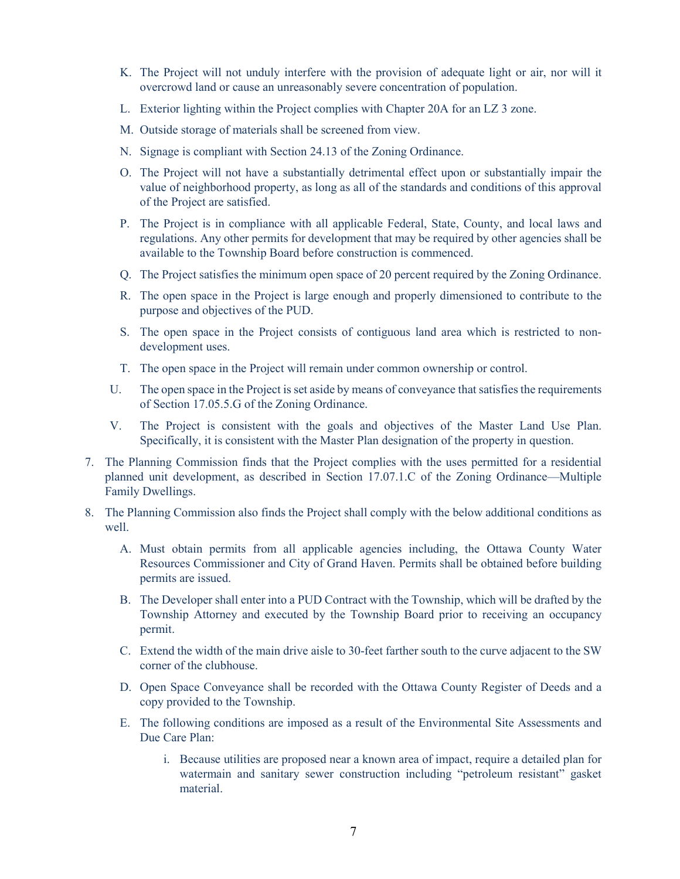- K. The Project will not unduly interfere with the provision of adequate light or air, nor will it overcrowd land or cause an unreasonably severe concentration of population.
- L. Exterior lighting within the Project complies with Chapter 20A for an LZ 3 zone.
- M. Outside storage of materials shall be screened from view.
- N. Signage is compliant with Section 24.13 of the Zoning Ordinance.
- O. The Project will not have a substantially detrimental effect upon or substantially impair the value of neighborhood property, as long as all of the standards and conditions of this approval of the Project are satisfied.
- P. The Project is in compliance with all applicable Federal, State, County, and local laws and regulations. Any other permits for development that may be required by other agencies shall be available to the Township Board before construction is commenced.
- Q. The Project satisfies the minimum open space of 20 percent required by the Zoning Ordinance.
- R. The open space in the Project is large enough and properly dimensioned to contribute to the purpose and objectives of the PUD.
- S. The open space in the Project consists of contiguous land area which is restricted to nondevelopment uses.
- T. The open space in the Project will remain under common ownership or control.
- U. The open space in the Project is set aside by means of conveyance that satisfies the requirements of Section 17.05.5.G of the Zoning Ordinance.
- V. The Project is consistent with the goals and objectives of the Master Land Use Plan. Specifically, it is consistent with the Master Plan designation of the property in question.
- 7. The Planning Commission finds that the Project complies with the uses permitted for a residential planned unit development, as described in Section 17.07.1.C of the Zoning Ordinance—Multiple Family Dwellings.
- 8. The Planning Commission also finds the Project shall comply with the below additional conditions as well.
	- A. Must obtain permits from all applicable agencies including, the Ottawa County Water Resources Commissioner and City of Grand Haven. Permits shall be obtained before building permits are issued.
	- B. The Developer shall enter into a PUD Contract with the Township, which will be drafted by the Township Attorney and executed by the Township Board prior to receiving an occupancy permit.
	- C. Extend the width of the main drive aisle to 30-feet farther south to the curve adjacent to the SW corner of the clubhouse.
	- D. Open Space Conveyance shall be recorded with the Ottawa County Register of Deeds and a copy provided to the Township.
	- E. The following conditions are imposed as a result of the Environmental Site Assessments and Due Care Plan:
		- i. Because utilities are proposed near a known area of impact, require a detailed plan for watermain and sanitary sewer construction including "petroleum resistant" gasket material.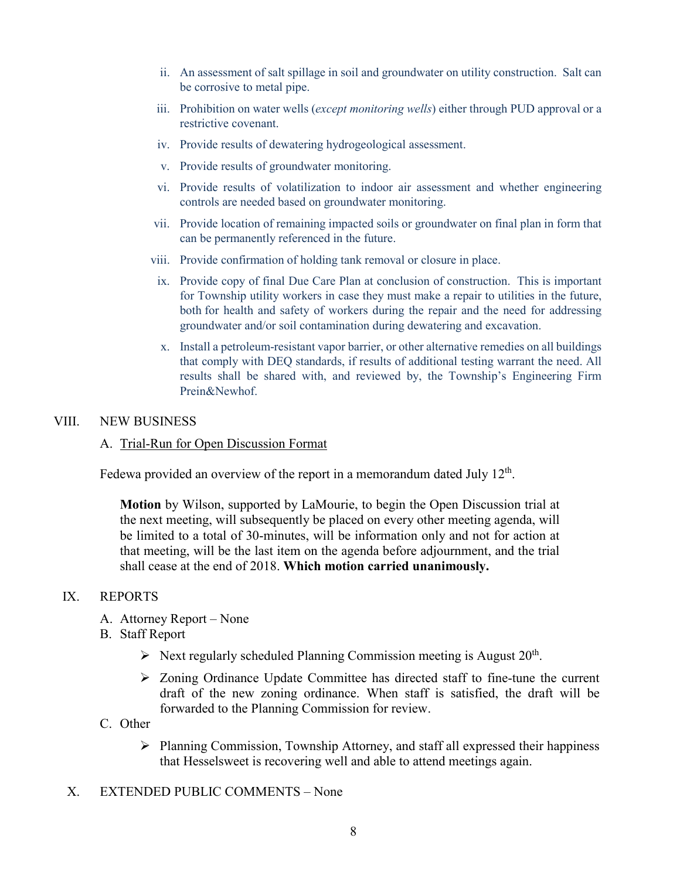- ii. An assessment of salt spillage in soil and groundwater on utility construction. Salt can be corrosive to metal pipe.
- iii. Prohibition on water wells (*except monitoring wells*) either through PUD approval or a restrictive covenant.
- iv. Provide results of dewatering hydrogeological assessment.
- v. Provide results of groundwater monitoring.
- vi. Provide results of volatilization to indoor air assessment and whether engineering controls are needed based on groundwater monitoring.
- vii. Provide location of remaining impacted soils or groundwater on final plan in form that can be permanently referenced in the future.
- viii. Provide confirmation of holding tank removal or closure in place.
- ix. Provide copy of final Due Care Plan at conclusion of construction. This is important for Township utility workers in case they must make a repair to utilities in the future, both for health and safety of workers during the repair and the need for addressing groundwater and/or soil contamination during dewatering and excavation.
- x. Install a petroleum-resistant vapor barrier, or other alternative remedies on all buildings that comply with DEQ standards, if results of additional testing warrant the need. All results shall be shared with, and reviewed by, the Township's Engineering Firm Prein&Newhof.

## VIII. NEW BUSINESS

#### A. Trial-Run for Open Discussion Format

Fedewa provided an overview of the report in a memorandum dated July  $12<sup>th</sup>$ .

**Motion** by Wilson, supported by LaMourie, to begin the Open Discussion trial at the next meeting, will subsequently be placed on every other meeting agenda, will be limited to a total of 30-minutes, will be information only and not for action at that meeting, will be the last item on the agenda before adjournment, and the trial shall cease at the end of 2018. **Which motion carried unanimously.**

#### IX. REPORTS

- A. Attorney Report None
- B. Staff Report
	- $\triangleright$  Next regularly scheduled Planning Commission meeting is August 20<sup>th</sup>.
	- Zoning Ordinance Update Committee has directed staff to fine-tune the current draft of the new zoning ordinance. When staff is satisfied, the draft will be forwarded to the Planning Commission for review.
- C. Other
	- $\triangleright$  Planning Commission, Township Attorney, and staff all expressed their happiness that Hesselsweet is recovering well and able to attend meetings again.
- X. EXTENDED PUBLIC COMMENTS None